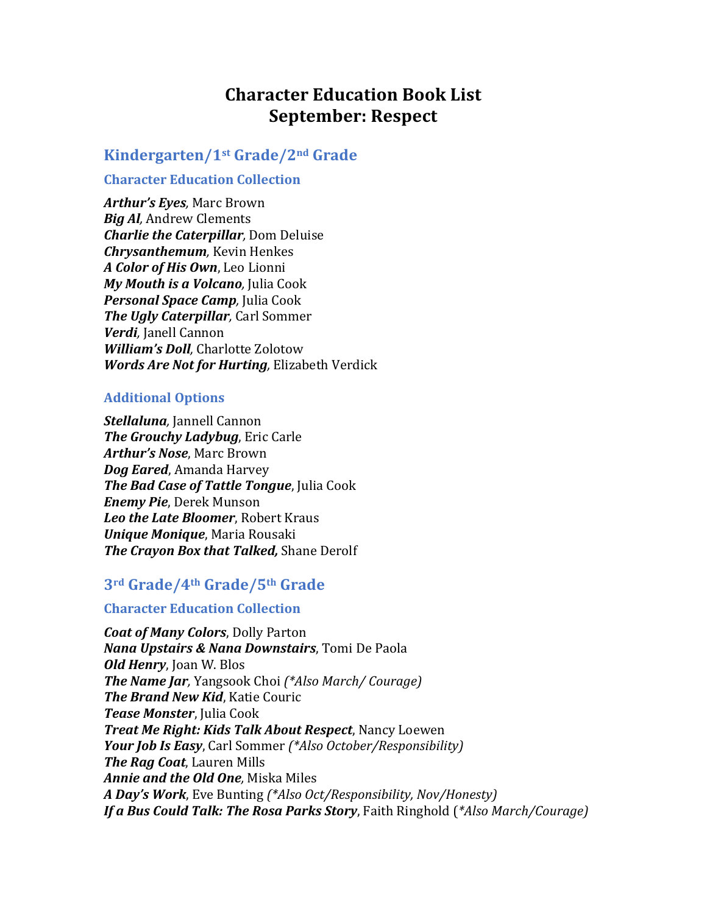# **Character Education Book List September: Respect**

## **Kindergarten/1st Grade/2nd Grade**

### **Character Education Collection**

Arthur's *Eyes*, Marc Brown *Big Al, Andrew Clements Charlie the Caterpillar, Dom Deluise Chrysanthemum*, Kevin Henkes *A Color of His Own*, Leo Lionni *My Mouth is a Volcano*, Julia Cook *Personal Space Camp*, Julia Cook *The Ugly Caterpillar*, Carl Sommer *Verdi,* Janell Cannon *William's Doll*, Charlotte Zolotow *Words Are Not for Hurting*, Elizabeth Verdick

### **Additional Options**

*Stellaluna,* Jannell Cannon *The Grouchy Ladybug*, Eric Carle Arthur's Nose, Marc Brown *Dog Eared, Amanda Harvey The Bad Case of Tattle Tongue*, Julia Cook *Enemy Pie*, Derek Munson **Leo the Late Bloomer**, Robert Kraus *Unique Monique, Maria Rousaki The Crayon Box that Talked, Shane Derolf* 

## **3rd Grade/4th Grade/5th Grade**

### **Character Education Collection**

*Coat of Many Colors*, Dolly Parton **Nana Upstairs & Nana Downstairs**, Tomi De Paola *Old Henry*, Joan W. Blos *The Name Jar*, Yangsook Choi (\*Also March/ Courage) *The Brand New Kid, Katie Couric Tease Monster*, Julia Cook *Treat Me Right: Kids Talk About Respect, Nancy Loewen Your Job Is Easy*, Carl Sommer (\*Also October/Responsibility) *The Rag Coat*, Lauren Mills *Annie and the Old One*, Miska Miles *A* Day's Work, Eve Bunting (\*Also Oct/Responsibility, Nov/Honesty) **If a Bus Could Talk: The Rosa Parks Story**, Faith Ringhold (\*Also March/Courage)